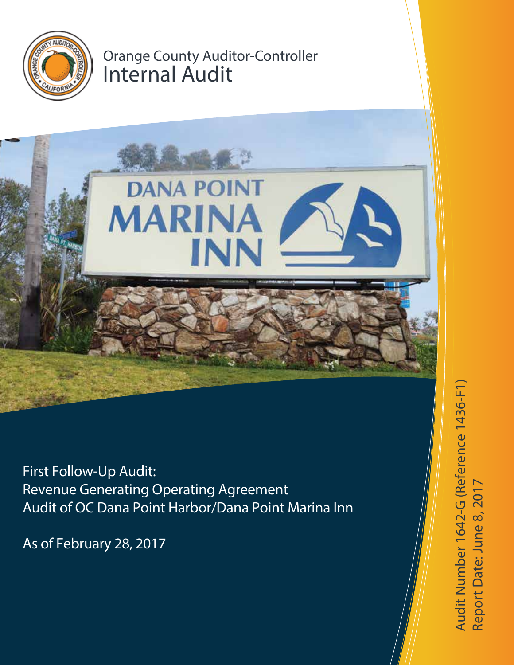

# Orange County Auditor-Controller Internal Audit



First Follow-Up Audit: Revenue Generating Operating Agreement Audit of OC Dana Point Harbor/Dana Point Marina Inn

As of February 28, 2017

Audit Number 1642-G (Reference 1436-F1) Audit Number 1642-G (Reference 1436-F1) te: June 8, 2017Report D a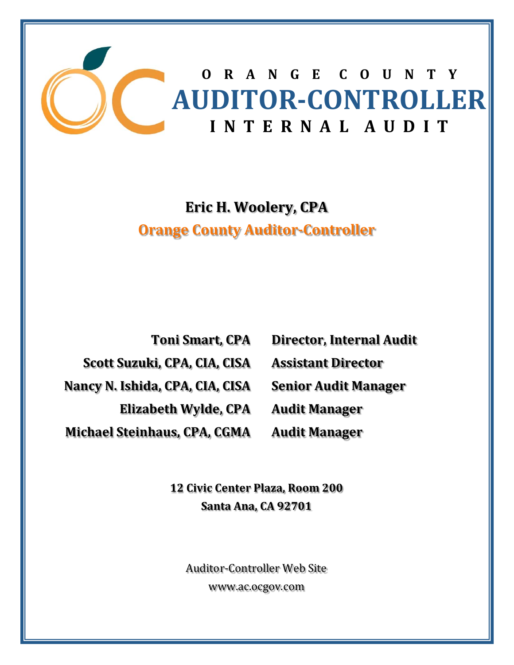

## **Eric H. Woolery, CPA Orange County Auditor‐Controller**

**Toni Smart, CPA Scott Suzuki, CPA, CIA, CISA Nancy N. Ishida, CPA, CIA, CISA Elizabeth Wylde, CPA Michael Steinhaus, CPA, CGMA**

**Director, Internal Audit Assistant Director Senior Audit Manager Audit Manager Audit Manager**

**12 Civic Center Plaza, Room 200 Santa Ana, CA 92701**

Auditor-Controller Web Site www.ac.ocgov.com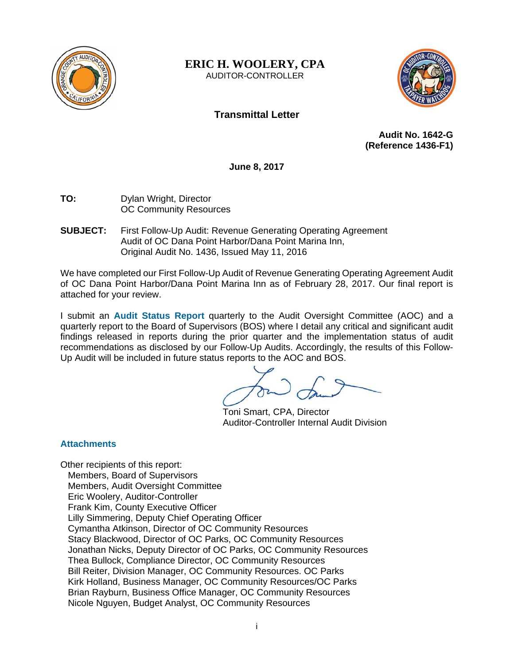

**ERIC H. WOOLERY, CPA**  AUDITOR-CONTROLLER



## **Transmittal Letter**

**Audit No. 1642-G (Reference 1436-F1)** 

**June 8, 2017** 

- **TO:** Dylan Wright, Director OC Community Resources
- **SUBJECT:** First Follow-Up Audit: Revenue Generating Operating Agreement Audit of OC Dana Point Harbor/Dana Point Marina Inn, Original Audit No. 1436, Issued May 11, 2016

We have completed our First Follow-Up Audit of Revenue Generating Operating Agreement Audit of OC Dana Point Harbor/Dana Point Marina Inn as of February 28, 2017. Our final report is attached for your review.

I submit an **Audit Status Report** quarterly to the Audit Oversight Committee (AOC) and a quarterly report to the Board of Supervisors (BOS) where I detail any critical and significant audit findings released in reports during the prior quarter and the implementation status of audit recommendations as disclosed by our Follow-Up Audits. Accordingly, the results of this Follow-Up Audit will be included in future status reports to the AOC and BOS.

Toni Smart, CPA, Director Auditor-Controller Internal Audit Division

#### **Attachments**

Other recipients of this report: Members, Board of Supervisors Members, Audit Oversight Committee Eric Woolery, Auditor-Controller Frank Kim, County Executive Officer Lilly Simmering, Deputy Chief Operating Officer Cymantha Atkinson, Director of OC Community Resources Stacy Blackwood, Director of OC Parks, OC Community Resources Jonathan Nicks, Deputy Director of OC Parks, OC Community Resources Thea Bullock, Compliance Director, OC Community Resources Bill Reiter, Division Manager, OC Community Resources. OC Parks Kirk Holland, Business Manager, OC Community Resources/OC Parks Brian Rayburn, Business Office Manager, OC Community Resources Nicole Nguyen, Budget Analyst, OC Community Resources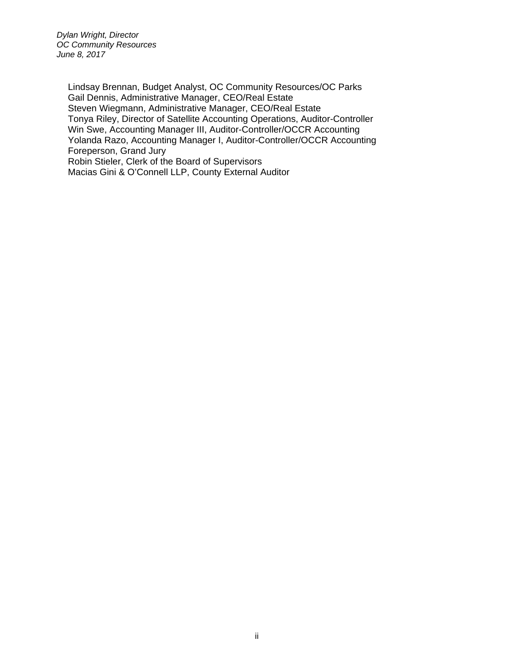*Dylan Wright, Director OC Community Resources June 8, 2017* 

Lindsay Brennan, Budget Analyst, OC Community Resources/OC Parks Gail Dennis, Administrative Manager, CEO/Real Estate Steven Wiegmann, Administrative Manager, CEO/Real Estate Tonya Riley, Director of Satellite Accounting Operations, Auditor-Controller Win Swe, Accounting Manager III, Auditor-Controller/OCCR Accounting Yolanda Razo, Accounting Manager I, Auditor-Controller/OCCR Accounting Foreperson, Grand Jury Robin Stieler, Clerk of the Board of Supervisors Macias Gini & O'Connell LLP, County External Auditor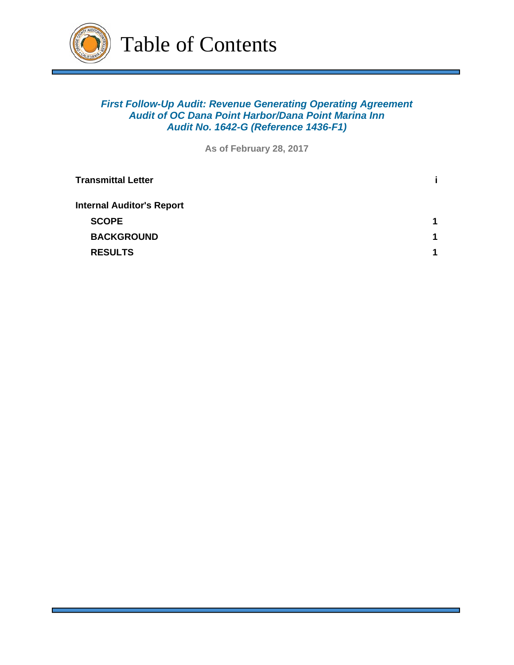

### *First Follow-Up Audit: Revenue Generating Operating Agreement Audit of OC Dana Point Harbor/Dana Point Marina Inn Audit No. 1642-G (Reference 1436-F1)*

**As of February 28, 2017**

| <b>Transmittal Letter</b>        |             |
|----------------------------------|-------------|
| <b>Internal Auditor's Report</b> |             |
| <b>SCOPE</b>                     | $\mathbf 1$ |
| <b>BACKGROUND</b>                | 1           |
| <b>RESULTS</b>                   | 1           |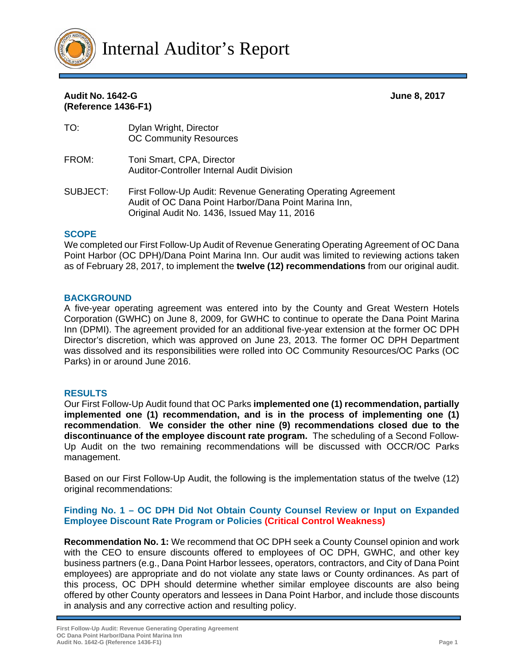

| TO:      | Dylan Wright, Director<br><b>OC Community Resources</b>                                                                                                               |
|----------|-----------------------------------------------------------------------------------------------------------------------------------------------------------------------|
| FROM:    | Toni Smart, CPA, Director<br><b>Auditor-Controller Internal Audit Division</b>                                                                                        |
| SUBJECT: | First Follow-Up Audit: Revenue Generating Operating Agreement<br>Audit of OC Dana Point Harbor/Dana Point Marina Inn,<br>Original Audit No. 1436, Issued May 11, 2016 |

#### **SCOPE**

We completed our First Follow-Up Audit of Revenue Generating Operating Agreement of OC Dana Point Harbor (OC DPH)/Dana Point Marina Inn. Our audit was limited to reviewing actions taken as of February 28, 2017, to implement the **twelve (12) recommendations** from our original audit.

#### **BACKGROUND**

A five-year operating agreement was entered into by the County and Great Western Hotels Corporation (GWHC) on June 8, 2009, for GWHC to continue to operate the Dana Point Marina Inn (DPMI). The agreement provided for an additional five-year extension at the former OC DPH Director's discretion, which was approved on June 23, 2013. The former OC DPH Department was dissolved and its responsibilities were rolled into OC Community Resources/OC Parks (OC Parks) in or around June 2016.

#### **RESULTS**

Our First Follow-Up Audit found that OC Parks **implemented one (1) recommendation, partially implemented one (1) recommendation, and is in the process of implementing one (1) recommendation**. **We consider the other nine (9) recommendations closed due to the discontinuance of the employee discount rate program.** The scheduling of a Second Follow-Up Audit on the two remaining recommendations will be discussed with OCCR/OC Parks management.

Based on our First Follow-Up Audit, the following is the implementation status of the twelve (12) original recommendations:

#### **Finding No. 1 – OC DPH Did Not Obtain County Counsel Review or Input on Expanded Employee Discount Rate Program or Policies (Critical Control Weakness)**

**Recommendation No. 1:** We recommend that OC DPH seek a County Counsel opinion and work with the CEO to ensure discounts offered to employees of OC DPH, GWHC, and other key business partners (e.g., Dana Point Harbor lessees, operators, contractors, and City of Dana Point employees) are appropriate and do not violate any state laws or County ordinances. As part of this process, OC DPH should determine whether similar employee discounts are also being offered by other County operators and lessees in Dana Point Harbor, and include those discounts in analysis and any corrective action and resulting policy.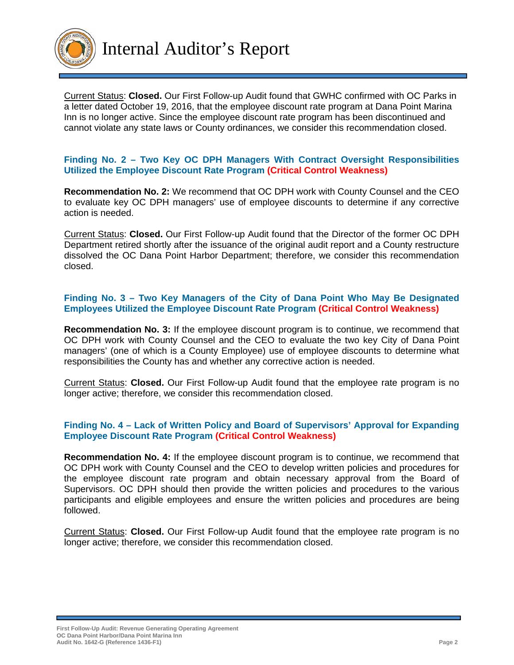

Current Status: **Closed.** Our First Follow-up Audit found that GWHC confirmed with OC Parks in a letter dated October 19, 2016, that the employee discount rate program at Dana Point Marina Inn is no longer active. Since the employee discount rate program has been discontinued and cannot violate any state laws or County ordinances, we consider this recommendation closed.

#### **Finding No. 2 – Two Key OC DPH Managers With Contract Oversight Responsibilities Utilized the Employee Discount Rate Program (Critical Control Weakness)**

**Recommendation No. 2:** We recommend that OC DPH work with County Counsel and the CEO to evaluate key OC DPH managers' use of employee discounts to determine if any corrective action is needed.

Current Status: **Closed.** Our First Follow-up Audit found that the Director of the former OC DPH Department retired shortly after the issuance of the original audit report and a County restructure dissolved the OC Dana Point Harbor Department; therefore, we consider this recommendation closed.

#### **Finding No. 3 – Two Key Managers of the City of Dana Point Who May Be Designated Employees Utilized the Employee Discount Rate Program (Critical Control Weakness)**

**Recommendation No. 3:** If the employee discount program is to continue, we recommend that OC DPH work with County Counsel and the CEO to evaluate the two key City of Dana Point managers' (one of which is a County Employee) use of employee discounts to determine what responsibilities the County has and whether any corrective action is needed.

Current Status: **Closed.** Our First Follow-up Audit found that the employee rate program is no longer active; therefore, we consider this recommendation closed.

#### **Finding No. 4 – Lack of Written Policy and Board of Supervisors' Approval for Expanding Employee Discount Rate Program (Critical Control Weakness)**

**Recommendation No. 4:** If the employee discount program is to continue, we recommend that OC DPH work with County Counsel and the CEO to develop written policies and procedures for the employee discount rate program and obtain necessary approval from the Board of Supervisors. OC DPH should then provide the written policies and procedures to the various participants and eligible employees and ensure the written policies and procedures are being followed.

Current Status: **Closed.** Our First Follow-up Audit found that the employee rate program is no longer active; therefore, we consider this recommendation closed.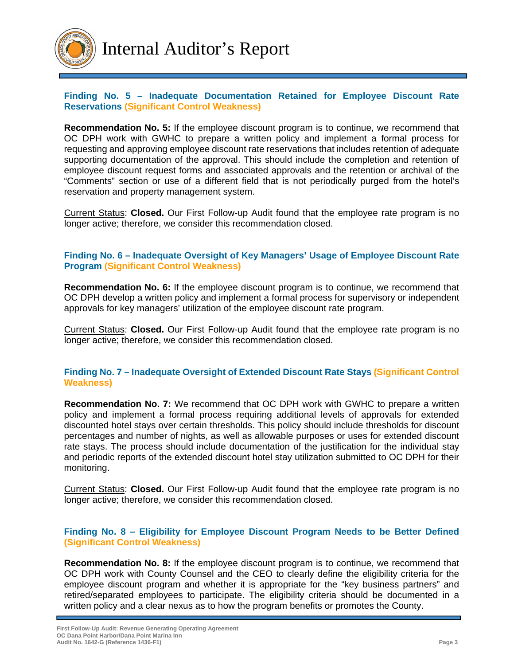

#### **Finding No. 5 – Inadequate Documentation Retained for Employee Discount Rate Reservations (Significant Control Weakness)**

**Recommendation No. 5:** If the employee discount program is to continue, we recommend that OC DPH work with GWHC to prepare a written policy and implement a formal process for requesting and approving employee discount rate reservations that includes retention of adequate supporting documentation of the approval. This should include the completion and retention of employee discount request forms and associated approvals and the retention or archival of the "Comments" section or use of a different field that is not periodically purged from the hotel's reservation and property management system.

Current Status: **Closed.** Our First Follow-up Audit found that the employee rate program is no longer active; therefore, we consider this recommendation closed.

#### **Finding No. 6 – Inadequate Oversight of Key Managers' Usage of Employee Discount Rate Program (Significant Control Weakness)**

**Recommendation No. 6:** If the employee discount program is to continue, we recommend that OC DPH develop a written policy and implement a formal process for supervisory or independent approvals for key managers' utilization of the employee discount rate program.

Current Status: **Closed.** Our First Follow-up Audit found that the employee rate program is no longer active; therefore, we consider this recommendation closed.

#### **Finding No. 7 – Inadequate Oversight of Extended Discount Rate Stays (Significant Control Weakness)**

**Recommendation No. 7:** We recommend that OC DPH work with GWHC to prepare a written policy and implement a formal process requiring additional levels of approvals for extended discounted hotel stays over certain thresholds. This policy should include thresholds for discount percentages and number of nights, as well as allowable purposes or uses for extended discount rate stays. The process should include documentation of the justification for the individual stay and periodic reports of the extended discount hotel stay utilization submitted to OC DPH for their monitoring.

Current Status: **Closed.** Our First Follow-up Audit found that the employee rate program is no longer active; therefore, we consider this recommendation closed.

#### **Finding No. 8 – Eligibility for Employee Discount Program Needs to be Better Defined (Significant Control Weakness)**

**Recommendation No. 8:** If the employee discount program is to continue, we recommend that OC DPH work with County Counsel and the CEO to clearly define the eligibility criteria for the employee discount program and whether it is appropriate for the "key business partners" and retired/separated employees to participate. The eligibility criteria should be documented in a written policy and a clear nexus as to how the program benefits or promotes the County.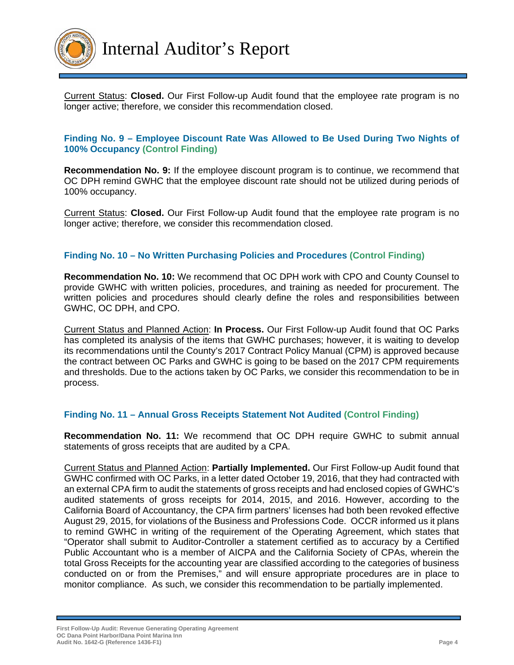

Current Status: **Closed.** Our First Follow-up Audit found that the employee rate program is no longer active; therefore, we consider this recommendation closed.

#### **Finding No. 9 – Employee Discount Rate Was Allowed to Be Used During Two Nights of 100% Occupancy (Control Finding)**

**Recommendation No. 9:** If the employee discount program is to continue, we recommend that OC DPH remind GWHC that the employee discount rate should not be utilized during periods of 100% occupancy.

Current Status: **Closed.** Our First Follow-up Audit found that the employee rate program is no longer active; therefore, we consider this recommendation closed.

#### **Finding No. 10 – No Written Purchasing Policies and Procedures (Control Finding)**

**Recommendation No. 10:** We recommend that OC DPH work with CPO and County Counsel to provide GWHC with written policies, procedures, and training as needed for procurement. The written policies and procedures should clearly define the roles and responsibilities between GWHC, OC DPH, and CPO.

Current Status and Planned Action: **In Process.** Our First Follow-up Audit found that OC Parks has completed its analysis of the items that GWHC purchases; however, it is waiting to develop its recommendations until the County's 2017 Contract Policy Manual (CPM) is approved because the contract between OC Parks and GWHC is going to be based on the 2017 CPM requirements and thresholds. Due to the actions taken by OC Parks, we consider this recommendation to be in process.

#### **Finding No. 11 – Annual Gross Receipts Statement Not Audited (Control Finding)**

**Recommendation No. 11:** We recommend that OC DPH require GWHC to submit annual statements of gross receipts that are audited by a CPA.

Current Status and Planned Action: **Partially Implemented.** Our First Follow-up Audit found that GWHC confirmed with OC Parks, in a letter dated October 19, 2016, that they had contracted with an external CPA firm to audit the statements of gross receipts and had enclosed copies of GWHC's audited statements of gross receipts for 2014, 2015, and 2016. However, according to the California Board of Accountancy, the CPA firm partners' licenses had both been revoked effective August 29, 2015, for violations of the Business and Professions Code. OCCR informed us it plans to remind GWHC in writing of the requirement of the Operating Agreement, which states that "Operator shall submit to Auditor-Controller a statement certified as to accuracy by a Certified Public Accountant who is a member of AICPA and the California Society of CPAs, wherein the total Gross Receipts for the accounting year are classified according to the categories of business conducted on or from the Premises," and will ensure appropriate procedures are in place to monitor compliance. As such, we consider this recommendation to be partially implemented.